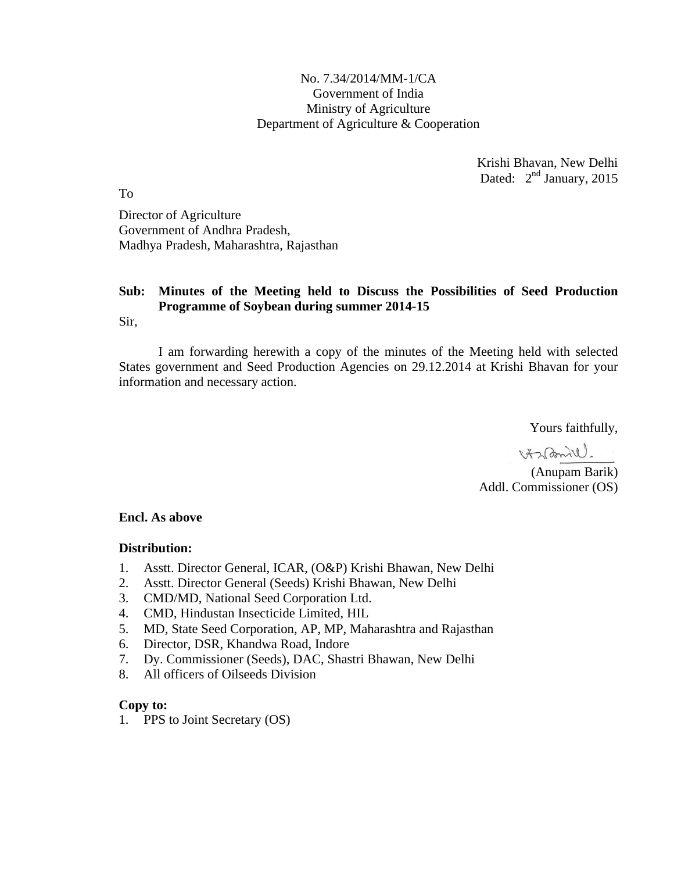### No. 7.34/2014/MM-1/CA Government of India Ministry of Agriculture Department of Agriculture & Cooperation

Krishi Bhavan, New Delhi Dated:  $2<sup>nd</sup> January, 2015$ 

To

Director of Agriculture Government of Andhra Pradesh, Madhya Pradesh, Maharashtra, Rajasthan

# **Sub: Minutes of the Meeting held to Discuss the Possibilities of Seed Production Programme of Soybean during summer 2014-15**

Sir,

I am forwarding herewith a copy of the minutes of the Meeting held with selected States government and Seed Production Agencies on 29.12.2014 at Krishi Bhavan for your information and necessary action.

Yours faithfully,

Harbonill.

(Anupam Barik) Addl. Commissioner (OS)

#### **Encl. As above**

#### **Distribution:**

- 1. Asstt. Director General, ICAR, (O&P) Krishi Bhawan, New Delhi
- 2. Asstt. Director General (Seeds) Krishi Bhawan, New Delhi
- 3. CMD/MD, National Seed Corporation Ltd.
- 4. CMD, Hindustan Insecticide Limited, HIL
- 5. MD, State Seed Corporation, AP, MP, Maharashtra and Rajasthan
- 6. Director, DSR, Khandwa Road, Indore
- 7. Dy. Commissioner (Seeds), DAC, Shastri Bhawan, New Delhi
- 8. All officers of Oilseeds Division

#### **Copy to:**

1. PPS to Joint Secretary (OS)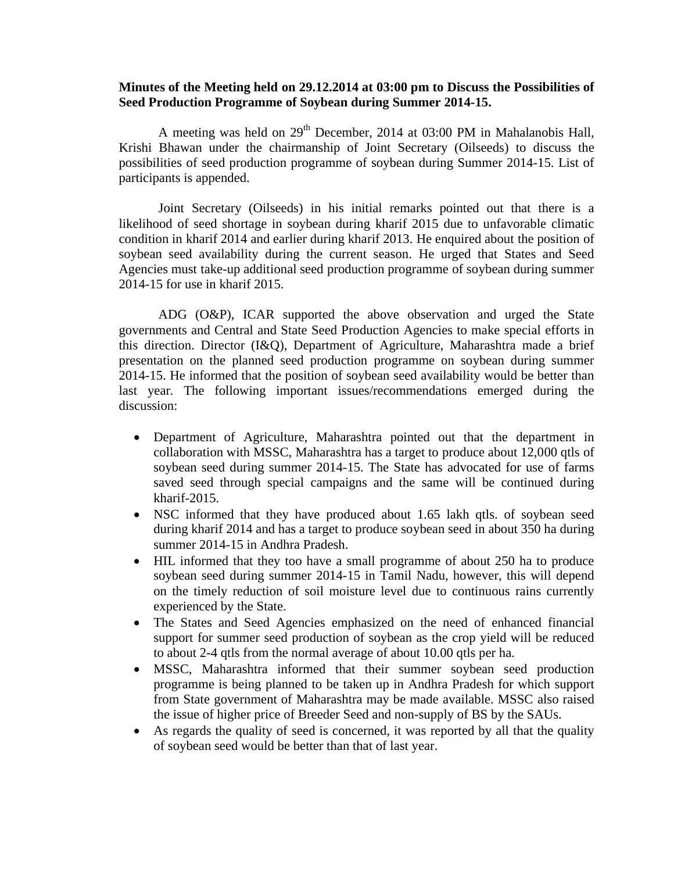#### **Minutes of the Meeting held on 29.12.2014 at 03:00 pm to Discuss the Possibilities of Seed Production Programme of Soybean during Summer 2014-15.**

A meeting was held on 29<sup>th</sup> December, 2014 at 03:00 PM in Mahalanobis Hall, Krishi Bhawan under the chairmanship of Joint Secretary (Oilseeds) to discuss the possibilities of seed production programme of soybean during Summer 2014-15. List of participants is appended.

Joint Secretary (Oilseeds) in his initial remarks pointed out that there is a likelihood of seed shortage in soybean during kharif 2015 due to unfavorable climatic condition in kharif 2014 and earlier during kharif 2013. He enquired about the position of soybean seed availability during the current season. He urged that States and Seed Agencies must take-up additional seed production programme of soybean during summer 2014-15 for use in kharif 2015.

ADG (O&P), ICAR supported the above observation and urged the State governments and Central and State Seed Production Agencies to make special efforts in this direction. Director (I&Q), Department of Agriculture, Maharashtra made a brief presentation on the planned seed production programme on soybean during summer 2014-15. He informed that the position of soybean seed availability would be better than last year. The following important issues/recommendations emerged during the discussion:

- Department of Agriculture, Maharashtra pointed out that the department in collaboration with MSSC, Maharashtra has a target to produce about 12,000 qtls of soybean seed during summer 2014-15. The State has advocated for use of farms saved seed through special campaigns and the same will be continued during kharif-2015.
- NSC informed that they have produced about 1.65 lakh qtls. of soybean seed during kharif 2014 and has a target to produce soybean seed in about 350 ha during summer 2014-15 in Andhra Pradesh.
- HIL informed that they too have a small programme of about 250 ha to produce soybean seed during summer 2014-15 in Tamil Nadu, however, this will depend on the timely reduction of soil moisture level due to continuous rains currently experienced by the State.
- The States and Seed Agencies emphasized on the need of enhanced financial support for summer seed production of soybean as the crop yield will be reduced to about 2-4 qtls from the normal average of about 10.00 qtls per ha.
- MSSC, Maharashtra informed that their summer soybean seed production programme is being planned to be taken up in Andhra Pradesh for which support from State government of Maharashtra may be made available. MSSC also raised the issue of higher price of Breeder Seed and non-supply of BS by the SAUs.
- As regards the quality of seed is concerned, it was reported by all that the quality of soybean seed would be better than that of last year.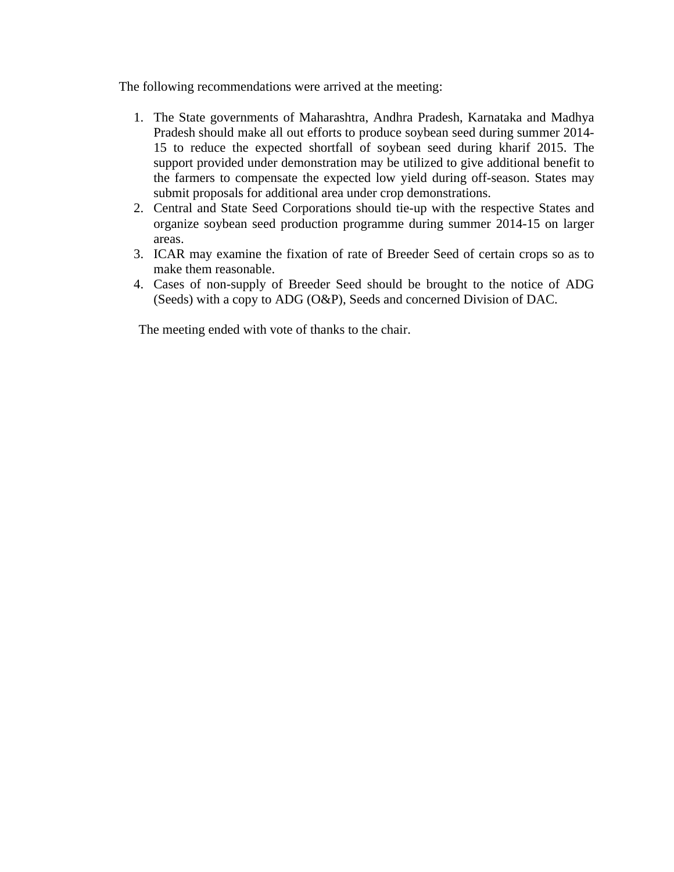The following recommendations were arrived at the meeting:

- 1. The State governments of Maharashtra, Andhra Pradesh, Karnataka and Madhya Pradesh should make all out efforts to produce soybean seed during summer 2014- 15 to reduce the expected shortfall of soybean seed during kharif 2015. The support provided under demonstration may be utilized to give additional benefit to the farmers to compensate the expected low yield during off-season. States may submit proposals for additional area under crop demonstrations.
- 2. Central and State Seed Corporations should tie-up with the respective States and organize soybean seed production programme during summer 2014-15 on larger areas.
- 3. ICAR may examine the fixation of rate of Breeder Seed of certain crops so as to make them reasonable.
- 4. Cases of non-supply of Breeder Seed should be brought to the notice of ADG (Seeds) with a copy to ADG (O&P), Seeds and concerned Division of DAC.

The meeting ended with vote of thanks to the chair.